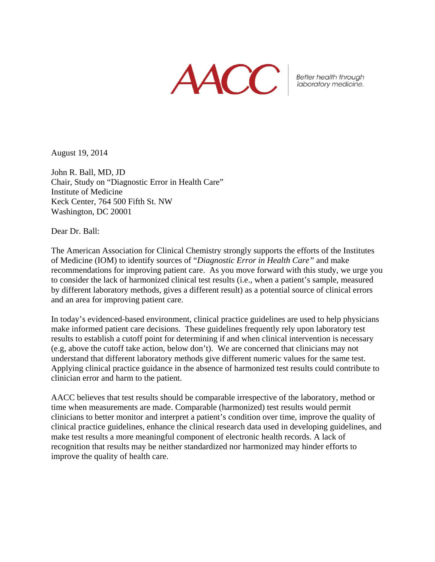**AACC** 

Better health through<br>laboratory medicine.

August 19, 2014

John R. Ball, MD, JD Chair, Study on "Diagnostic Error in Health Care" Institute of Medicine Keck Center, 764 500 Fifth St. NW Washington, DC 20001

Dear Dr. Ball:

The American Association for Clinical Chemistry strongly supports the efforts of the Institutes of Medicine (IOM) to identify sources of "*Diagnostic Error in Health Care"* and make recommendations for improving patient care. As you move forward with this study, we urge you to consider the lack of harmonized clinical test results (i.e., when a patient's sample, measured by different laboratory methods, gives a different result) as a potential source of clinical errors and an area for improving patient care.

In today's evidenced-based environment, clinical practice guidelines are used to help physicians make informed patient care decisions. These guidelines frequently rely upon laboratory test results to establish a cutoff point for determining if and when clinical intervention is necessary (e.g, above the cutoff take action, below don't). We are concerned that clinicians may not understand that different laboratory methods give different numeric values for the same test. Applying clinical practice guidance in the absence of harmonized test results could contribute to clinician error and harm to the patient.

AACC believes that test results should be comparable irrespective of the laboratory, method or time when measurements are made. Comparable (harmonized) test results would permit clinicians to better monitor and interpret a patient's condition over time, improve the quality of clinical practice guidelines, enhance the clinical research data used in developing guidelines, and make test results a more meaningful component of electronic health records. A lack of recognition that results may be neither standardized nor harmonized may hinder efforts to improve the quality of health care.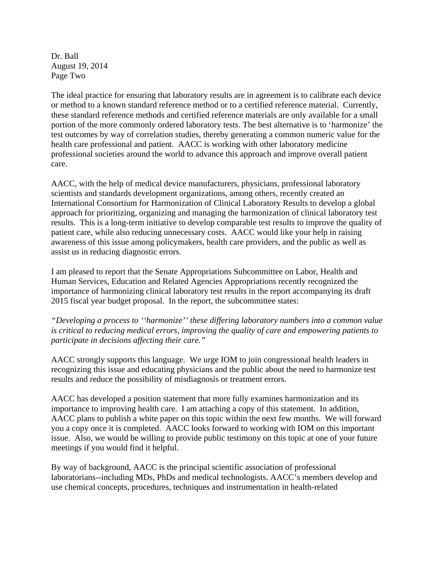Dr. Ball August 19, 2014 Page Two

The ideal practice for ensuring that laboratory results are in agreement is to calibrate each device or method to a known standard reference method or to a certified reference material. Currently, these standard reference methods and certified reference materials are only available for a small portion of the more commonly ordered laboratory tests. The best alternative is to 'harmonize' the test outcomes by way of correlation studies, thereby generating a common numeric value for the health care professional and patient. AACC is working with other laboratory medicine professional societies around the world to advance this approach and improve overall patient care.

AACC, with the help of medical device manufacturers, physicians, professional laboratory scientists and standards development organizations, among others, recently created an International Consortium for Harmonization of Clinical Laboratory Results to develop a global approach for prioritizing, organizing and managing the harmonization of clinical laboratory test results. This is a long-term initiative to develop comparable test results to improve the quality of patient care, while also reducing unnecessary costs. AACC would like your help in raising awareness of this issue among policymakers, health care providers, and the public as well as assist us in reducing diagnostic errors.

I am pleased to report that the Senate Appropriations Subcommittee on Labor, Health and Human Services, Education and Related Agencies Appropriations recently recognized the importance of harmonizing clinical laboratory test results in the report accompanying its draft 2015 fiscal year budget proposal. In the report, the subcommittee states:

*"Developing a process to ''harmonize'' these differing laboratory numbers into a common value is critical to reducing medical errors, improving the quality of care and empowering patients to participate in decisions affecting their care."* 

AACC strongly supports this language. We urge IOM to join congressional health leaders in recognizing this issue and educating physicians and the public about the need to harmonize test results and reduce the possibility of misdiagnosis or treatment errors.

AACC has developed a position statement that more fully examines harmonization and its importance to improving health care. I am attaching a copy of this statement. In addition, AACC plans to publish a white paper on this topic within the next few months. We will forward you a copy once it is completed. AACC looks forward to working with IOM on this important issue. Also, we would be willing to provide public testimony on this topic at one of your future meetings if you would find it helpful.

By way of background, AACC is the principal scientific association of professional laboratorians--including MDs, PhDs and medical technologists. AACC's members develop and use chemical concepts, procedures, techniques and instrumentation in health-related